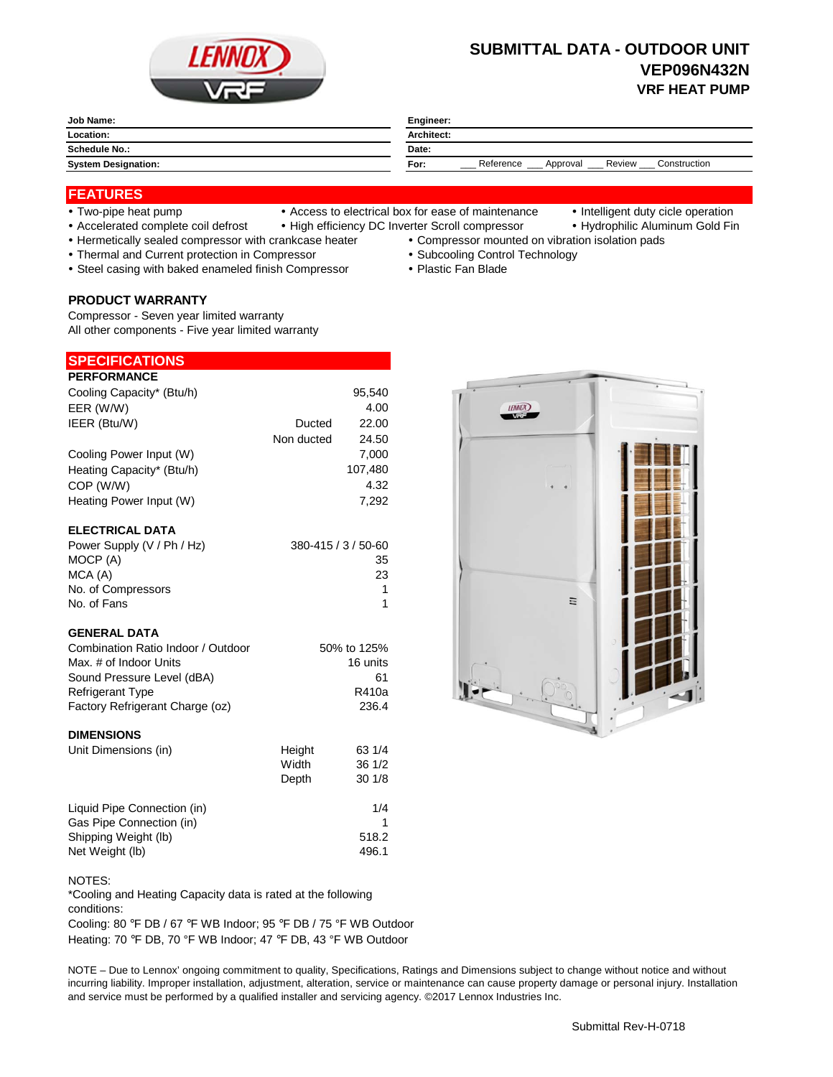

# **SUBMITTAL DATA - OUTDOOR UNIT VEP096N432N VRF HEAT PUMP**

| Engineer:                                       |  |  |
|-------------------------------------------------|--|--|
| <b>Architect:</b>                               |  |  |
|                                                 |  |  |
| Reference<br>Construction<br>Review<br>Approval |  |  |
| Date:<br>For:                                   |  |  |

## **FEATURES**

- 
- Two-pipe heat pump Access to electrical box for ease of maintenance Intelligent duty cicle operation
- 
- Accelerated complete coil defrost High efficiency DC Inverter Scroll compressor Hydrophilic Aluminum Gold Fin
- Hermetically sealed compressor with crankcase heater Compressor mounted on vibration isolation pads
- Thermal and Current protection in Compressor **Subcooling Control Technology Subcooling Control Technology**
- Steel casing with baked enameled finish Compressor Plastic Fan Blade

## **PRODUCT WARRANTY**

Compressor - Seven year limited warranty All other components - Five year limited warranty

### **PERFORMANCE SPECIFICATIONS**

| <b>PERFURWANCE</b>        |            |         |
|---------------------------|------------|---------|
| Cooling Capacity* (Btu/h) |            | 95,540  |
| EER (W/W)                 |            | 4.00    |
| IEER (Btu/W)              | Ducted     | 22.00   |
|                           | Non ducted | 24.50   |
| Cooling Power Input (W)   |            | 7,000   |
| Heating Capacity* (Btu/h) |            | 107,480 |
| COP (W/W)                 |            | 4.32    |
| Heating Power Input (W)   |            | 7.292   |
|                           |            |         |
| <b>ELECTRICAL DATA</b>    |            |         |

| Power Supply (V / Ph / Hz) | $380 - 415 / 3 / 50 - 60$ |
|----------------------------|---------------------------|
| MOCP (A)                   | 35                        |
| MCA (A)                    | 23                        |
| No. of Compressors         |                           |
| No. of Fans                |                           |

## **GENERAL DATA**

| Combination Ratio Indoor / Outdoor | 50% to 125% |
|------------------------------------|-------------|
| Max. # of Indoor Units             | 16 units    |
| Sound Pressure Level (dBA)         | 61          |
| <b>Refrigerant Type</b>            | R410a       |
| Factory Refrigerant Charge (oz)    | 236.4       |

## **DIMENSIONS**

| Unit Dimensions (in)        | Height | 63 1/4 |
|-----------------------------|--------|--------|
|                             | Width  | 361/2  |
|                             | Depth  | 301/8  |
| Liquid Pipe Connection (in) |        | 1/4    |
| Gas Pipe Connection (in)    |        |        |
| Shipping Weight (lb)        |        | 518.2  |
| Net Weight (lb)             |        | 496.1  |

## NOTES:

\*Cooling and Heating Capacity data is rated at the following conditions:

Cooling: 80 °F DB / 67 °F WB Indoor; 95 °F DB / 75 °F WB Outdoor Heating: 70 °F DB, 70 °F WB Indoor; 47 °F DB, 43 °F WB Outdoor

NOTE – Due to Lennox' ongoing commitment to quality, Specifications, Ratings and Dimensions subject to change without notice and without incurring liability. Improper installation, adjustment, alteration, service or maintenance can cause property damage or personal injury. Installation and service must be performed by a qualified installer and servicing agency. ©2017 Lennox Industries Inc.